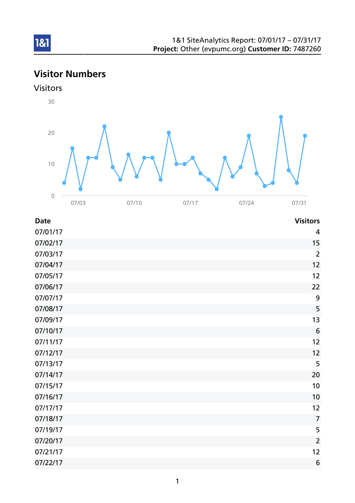# Visitor Numbers





| <b>Date</b> | <b>Visitors</b> |
|-------------|-----------------|
| 07/01/17    | 4               |
| 07/02/17    | 15              |
| 07/03/17    | $\overline{2}$  |
| 07/04/17    | 12              |
| 07/05/17    | 12              |
| 07/06/17    | 22              |
| 07/07/17    | 9               |
| 07/08/17    | 5               |
| 07/09/17    | 13              |
| 07/10/17    | 6               |
| 07/11/17    | 12              |
| 07/12/17    | 12              |
| 07/13/17    | 5               |
| 07/14/17    | 20              |
| 07/15/17    | 10              |
| 07/16/17    | 10              |
| 07/17/17    | 12              |
| 07/18/17    | $\overline{7}$  |
| 07/19/17    | 5               |
| 07/20/17    | $\overline{2}$  |
| 07/21/17    | 12              |
| 07/22/17    | 6               |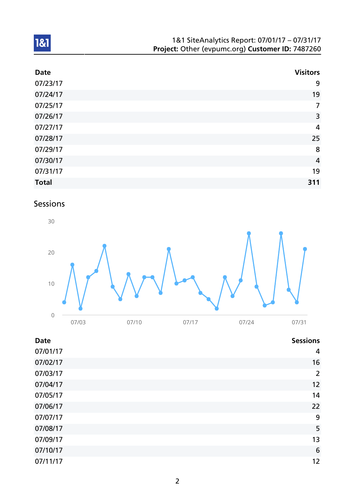| 1&1 SiteAnalytics Report: 07/01/17 - 07/31/17    |
|--------------------------------------------------|
| Project: Other (evpumc.org) Customer ID: 7487260 |

| <b>Date</b>  | <b>Visitors</b> |
|--------------|-----------------|
| 07/23/17     | 9               |
| 07/24/17     | 19              |
| 07/25/17     | $\overline{7}$  |
| 07/26/17     | 3               |
| 07/27/17     | 4               |
| 07/28/17     | 25              |
| 07/29/17     | 8               |
| 07/30/17     | $\overline{4}$  |
| 07/31/17     | 19              |
| <b>Total</b> | 311             |

## Sessions



| <b>Date</b> | <b>Sessions</b> |
|-------------|-----------------|
| 07/01/17    | 4               |
| 07/02/17    | 16              |
| 07/03/17    | $\overline{2}$  |
| 07/04/17    | 12              |
| 07/05/17    | 14              |
| 07/06/17    | 22              |
| 07/07/17    | 9               |
| 07/08/17    | 5               |
| 07/09/17    | 13              |
| 07/10/17    | 6               |
| 07/11/17    | 12              |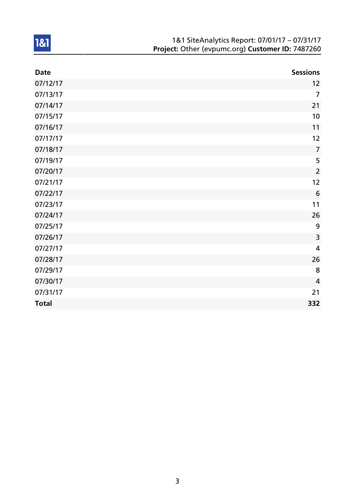| 1&1 SiteAnalytics Report: 07/01/17 - 07/31/17    |
|--------------------------------------------------|
| Project: Other (evpumc.org) Customer ID: 7487260 |

| <b>Date</b>  | <b>Sessions</b> |
|--------------|-----------------|
| 07/12/17     | 12              |
| 07/13/17     | $\overline{7}$  |
| 07/14/17     | 21              |
| 07/15/17     | 10              |
| 07/16/17     | 11              |
| 07/17/17     | 12              |
| 07/18/17     | $\overline{7}$  |
| 07/19/17     | 5               |
| 07/20/17     | $\overline{2}$  |
| 07/21/17     | 12              |
| 07/22/17     | 6               |
| 07/23/17     | 11              |
| 07/24/17     | 26              |
| 07/25/17     | 9               |
| 07/26/17     | 3               |
| 07/27/17     | $\overline{4}$  |
| 07/28/17     | 26              |
| 07/29/17     | 8               |
| 07/30/17     | $\overline{4}$  |
| 07/31/17     | 21              |
| <b>Total</b> | 332             |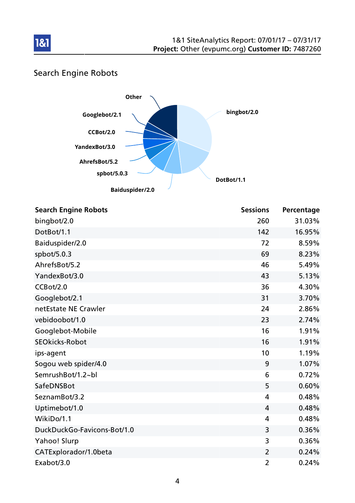

## Search Engine Robots

181



| <b>Search Engine Robots</b> | <b>Sessions</b> | Percentage |
|-----------------------------|-----------------|------------|
| bingbot/2.0                 | 260             | 31.03%     |
| DotBot/1.1                  | 142             | 16.95%     |
| Baiduspider/2.0             | 72              | 8.59%      |
| spbot/5.0.3                 | 69              | 8.23%      |
| AhrefsBot/5.2               | 46              | 5.49%      |
| YandexBot/3.0               | 43              | 5.13%      |
| CCBot/2.0                   | 36              | 4.30%      |
| Googlebot/2.1               | 31              | 3.70%      |
| netEstate NE Crawler        | 24              | 2.86%      |
| vebidoobot/1.0              | 23              | 2.74%      |
| Googlebot-Mobile            | 16              | 1.91%      |
| <b>SEOkicks-Robot</b>       | 16              | 1.91%      |
| ips-agent                   | 10              | 1.19%      |
| Sogou web spider/4.0        | 9               | 1.07%      |
| SemrushBot/1.2~bl           | 6               | 0.72%      |
| SafeDNSBot                  | 5               | 0.60%      |
| SeznamBot/3.2               | 4               | 0.48%      |
| Uptimebot/1.0               | $\overline{4}$  | 0.48%      |
| WikiDo/1.1                  | $\overline{4}$  | 0.48%      |
| DuckDuckGo-Favicons-Bot/1.0 | 3               | 0.36%      |
| Yahoo! Slurp                | 3               | 0.36%      |
| CATExplorador/1.0beta       | $\overline{2}$  | 0.24%      |
| Exabot/3.0                  | $\overline{2}$  | 0.24%      |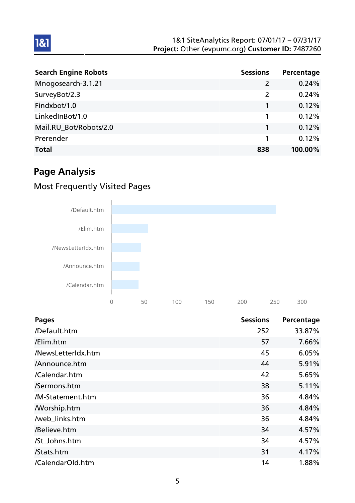| <b>Search Engine Robots</b> | <b>Sessions</b> | Percentage |
|-----------------------------|-----------------|------------|
| Mnogosearch-3.1.21          | 2               | 0.24%      |
| SurveyBot/2.3               | 2               | 0.24%      |
| Findxbot/1.0                |                 | 0.12%      |
| LinkedInBot/1.0             |                 | 0.12%      |
| Mail.RU_Bot/Robots/2.0      |                 | 0.12%      |
| Prerender                   |                 | 0.12%      |
| <b>Total</b>                | 838             | 100.00%    |

# Page Analysis

1&1

### Most Frequently Visited Pages



| <b>Pages</b>       | <b>Sessions</b> | Percentage |
|--------------------|-----------------|------------|
| /Default.htm       | 252             | 33.87%     |
| /Elim.htm          | 57              | 7.66%      |
| /NewsLetterIdx.htm | 45              | 6.05%      |
| /Announce.htm      | 44              | 5.91%      |
| /Calendar.htm      | 42              | 5.65%      |
| /Sermons.htm       | 38              | 5.11%      |
| /M-Statement.htm   | 36              | 4.84%      |
| <b>Morship.htm</b> | 36              | 4.84%      |
| /web_links.htm     | 36              | 4.84%      |
| /Believe.htm       | 34              | 4.57%      |
| /St_Johns.htm      | 34              | 4.57%      |
| /Stats.htm         | 31              | 4.17%      |
| /CalendarOld.htm   | 14              | 1.88%      |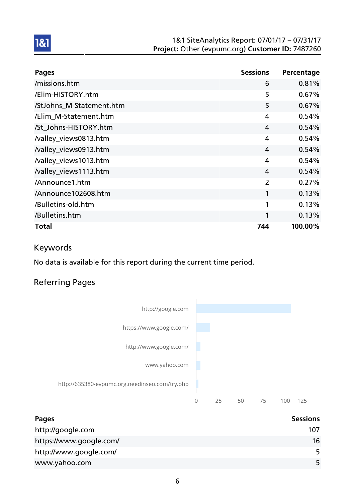#### 1&1 SiteAnalytics Report: 07/01/17 – 07/31/17 Project: Other (evpumc.org) Customer ID: 7487260

| <b>Pages</b>             | <b>Sessions</b> | Percentage |
|--------------------------|-----------------|------------|
| /missions.htm            | 6               | 0.81%      |
| /Elim-HISTORY.htm        | 5               | 0.67%      |
| /StJohns_M-Statement.htm | 5               | 0.67%      |
| /Elim_M-Statement.htm    | 4               | 0.54%      |
| /St_Johns-HISTORY.htm    | 4               | 0.54%      |
| /valley_views0813.htm    | 4               | 0.54%      |
| /valley_views0913.htm    | 4               | 0.54%      |
| /valley_views1013.htm    | 4               | 0.54%      |
| /valley_views1113.htm    | 4               | 0.54%      |
| /Announce1.htm           | $\overline{2}$  | 0.27%      |
| /Announce102608.htm      | 1               | 0.13%      |
| /Bulletins-old.htm       | 1               | 0.13%      |
| /Bulletins.htm           | 1               | 0.13%      |
| <b>Total</b>             | 744             | 100.00%    |

### Keywords

1&1

No data is available for this report during the current time period.

### Referring Pages



| Pages                   | <b>Sessions</b> |
|-------------------------|-----------------|
| http://google.com       | 107             |
| https://www.google.com/ | 16              |
| http://www.google.com/  | 5               |
| www.yahoo.com           | 5               |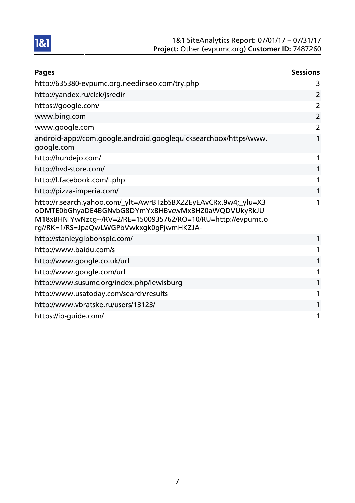

| <b>Pages</b>                                                                                                                                                                                                                      | <b>Sessions</b> |
|-----------------------------------------------------------------------------------------------------------------------------------------------------------------------------------------------------------------------------------|-----------------|
| http://635380-evpumc.org.needinseo.com/try.php                                                                                                                                                                                    | 3               |
| http://yandex.ru/clck/jsredir                                                                                                                                                                                                     | $\overline{2}$  |
| https://google.com/                                                                                                                                                                                                               | $\overline{2}$  |
| www.bing.com                                                                                                                                                                                                                      | $\overline{2}$  |
| www.google.com                                                                                                                                                                                                                    | $\overline{2}$  |
| android-app://com.google.android.googlequicksearchbox/https/www.<br>google.com                                                                                                                                                    | 1               |
| http://hundejo.com/                                                                                                                                                                                                               | 1               |
| http://hvd-store.com/                                                                                                                                                                                                             | 1               |
| http://l.facebook.com/l.php                                                                                                                                                                                                       | 1               |
| http://pizza-imperia.com/                                                                                                                                                                                                         | 1               |
| http://r.search.yahoo.com/_ylt=AwrBTzbSBXZZEyEAvCRx.9w4;_ylu=X3<br>oDMTE0bGhyaDE4BGNvbG8DYmYxBHBvcwMxBHZ0aWQDVUkyRkJU<br>M18xBHNlYwNzcg--/RV=2/RE=1500935762/RO=10/RU=http://evpumc.o<br>rg//RK=1/RS=JpaQwLWGPbVwkxgk0gPjwmHKZJA- | 1               |
| http://stanleygibbonsplc.com/                                                                                                                                                                                                     | 1               |
| http://www.baidu.com/s                                                                                                                                                                                                            | 1               |
| http://www.google.co.uk/url                                                                                                                                                                                                       | 1               |
| http://www.google.com/url                                                                                                                                                                                                         | 1               |
| http://www.susumc.org/index.php/lewisburg                                                                                                                                                                                         | 1               |
| http://www.usatoday.com/search/results                                                                                                                                                                                            | 1               |
| http://www.vbratske.ru/users/13123/                                                                                                                                                                                               | 1               |
| https://ip-guide.com/                                                                                                                                                                                                             | 1               |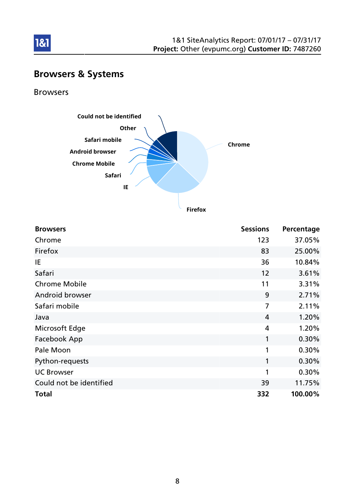

# Browsers & Systems

Browsers

1&1



**Firefox**

| <b>Browsers</b>         | <b>Sessions</b> | Percentage |
|-------------------------|-----------------|------------|
| Chrome                  | 123             | 37.05%     |
| Firefox                 | 83              | 25.00%     |
| IE                      | 36              | 10.84%     |
| Safari                  | 12              | 3.61%      |
| <b>Chrome Mobile</b>    | 11              | 3.31%      |
| Android browser         | 9               | 2.71%      |
| Safari mobile           | 7               | 2.11%      |
| Java                    | 4               | 1.20%      |
| Microsoft Edge          | 4               | 1.20%      |
| Facebook App            | 1               | 0.30%      |
| Pale Moon               | 1               | 0.30%      |
| Python-requests         | 1               | 0.30%      |
| <b>UC Browser</b>       | 1               | 0.30%      |
| Could not be identified | 39              | 11.75%     |
| <b>Total</b>            | 332             | 100.00%    |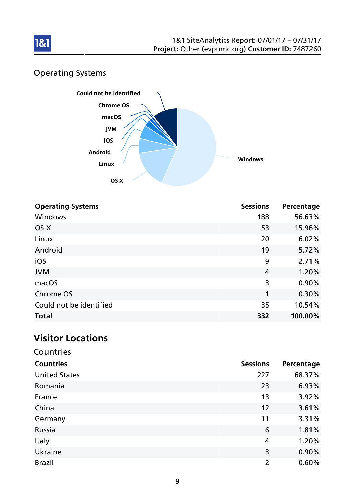

## Operating Systems



| <b>Operating Systems</b> | <b>Sessions</b> | Percentage |
|--------------------------|-----------------|------------|
| <b>Windows</b>           | 188             | 56.63%     |
| OS X                     | 53              | 15.96%     |
| Linux                    | 20              | 6.02%      |
| Android                  | 19              | 5.72%      |
| iOS                      | 9               | 2.71%      |
| <b>JVM</b>               | $\overline{4}$  | 1.20%      |
| macOS                    | 3               | 0.90%      |
| Chrome OS                | 1               | 0.30%      |
| Could not be identified  | 35              | 10.54%     |
| <b>Total</b>             | 332             | 100.00%    |

### Visitor Locations

| Countries            |                 |            |
|----------------------|-----------------|------------|
| <b>Countries</b>     | <b>Sessions</b> | Percentage |
| <b>United States</b> | 227             | 68.37%     |
| Romania              | 23              | 6.93%      |
| France               | 13              | 3.92%      |
| China                | 12              | 3.61%      |
| Germany              | 11              | 3.31%      |
| Russia               | 6               | 1.81%      |
| Italy                | 4               | 1.20%      |
| Ukraine              | 3               | 0.90%      |
| <b>Brazil</b>        | $\overline{2}$  | 0.60%      |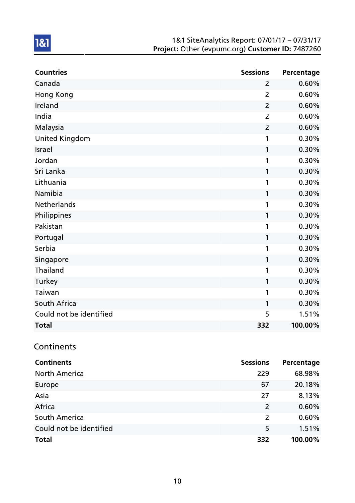#### 1&1 SiteAnalytics Report: 07/01/17 – 07/31/17 Project: Other (evpumc.org) Customer ID: 7487260

| <b>Countries</b>        | <b>Sessions</b> | Percentage |
|-------------------------|-----------------|------------|
| Canada                  | $\overline{2}$  | 0.60%      |
| Hong Kong               | $\overline{2}$  | 0.60%      |
| Ireland                 | $\overline{2}$  | 0.60%      |
| India                   | $\overline{2}$  | 0.60%      |
| Malaysia                | $\overline{2}$  | 0.60%      |
| <b>United Kingdom</b>   | 1               | 0.30%      |
| <b>Israel</b>           | 1               | 0.30%      |
| Jordan                  | 1               | 0.30%      |
| Sri Lanka               | 1               | 0.30%      |
| Lithuania               | 1               | 0.30%      |
| Namibia                 | 1               | 0.30%      |
| Netherlands             | 1               | 0.30%      |
| Philippines             | 1               | 0.30%      |
| Pakistan                | 1               | 0.30%      |
| Portugal                | 1               | 0.30%      |
| Serbia                  | 1               | 0.30%      |
| Singapore               | 1               | 0.30%      |
| Thailand                | 1               | 0.30%      |
| Turkey                  | 1               | 0.30%      |
| Taiwan                  | 1               | 0.30%      |
| South Africa            | 1               | 0.30%      |
| Could not be identified | 5               | 1.51%      |
| <b>Total</b>            | 332             | 100.00%    |

## **Continents**

| <b>Continents</b>       | <b>Sessions</b> | Percentage |
|-------------------------|-----------------|------------|
| <b>North America</b>    | 229             | 68.98%     |
| Europe                  | 67              | 20.18%     |
| Asia                    | 27              | 8.13%      |
| Africa                  | 2               | 0.60%      |
| South America           | 2               | 0.60%      |
| Could not be identified | 5               | 1.51%      |
| <b>Total</b>            | 332             | 100.00%    |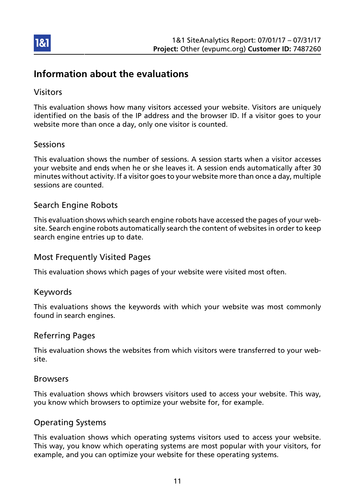

### Information about the evaluations

### Visitors

This evaluation shows how many visitors accessed your website. Visitors are uniquely identified on the basis of the IP address and the browser ID. If a visitor goes to your website more than once a day, only one visitor is counted.

### Sessions

This evaluation shows the number of sessions. A session starts when a visitor accesses your website and ends when he or she leaves it. A session ends automatically after 30 minutes without activity. If a visitor goes to your website more than once a day, multiple sessions are counted.

### Search Engine Robots

This evaluation shows which search engine robots have accessed the pages of your website. Search engine robots automatically search the content of websites in order to keep search engine entries up to date.

### Most Frequently Visited Pages

This evaluation shows which pages of your website were visited most often.

#### Keywords

This evaluations shows the keywords with which your website was most commonly found in search engines.

#### Referring Pages

This evaluation shows the websites from which visitors were transferred to your website.

#### Browsers

This evaluation shows which browsers visitors used to access your website. This way, you know which browsers to optimize your website for, for example.

### Operating Systems

This evaluation shows which operating systems visitors used to access your website. This way, you know which operating systems are most popular with your visitors, for example, and you can optimize your website for these operating systems.